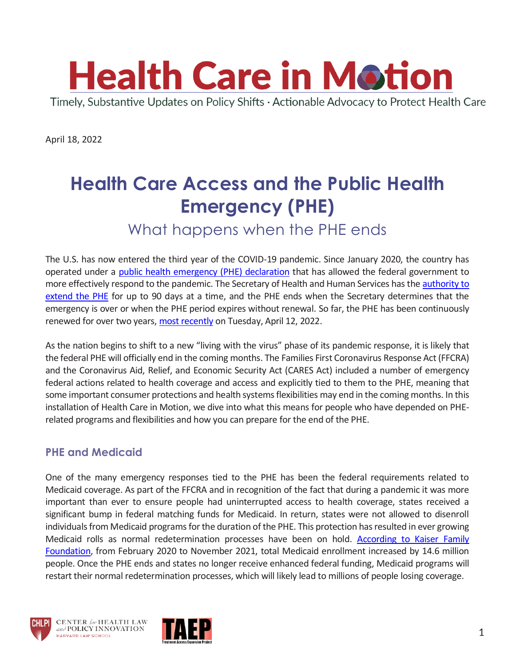

April 18, 2022

# **Health Care Access and the Public Health Emergency (PHE)**

What happens when the PHE ends

The U.S. has now entered the third year of the COVID-19 pandemic. Since January 2020, the country has operated under a [public health emergency \(PHE\) declaration](https://www.phe.gov/emergency/news/healthactions/phe/Pages/default.aspx) that has allowed the federal government to more effectively respond to the pandemic. The Secretary of Health and Human Services has th[e authority to](https://www.phe.gov/Preparedness/legal/Pages/phe-qa.aspx)  [extend the PHE](https://www.phe.gov/Preparedness/legal/Pages/phe-qa.aspx) for up to 90 days at a time, and the PHE ends when the Secretary determines that the emergency is over or when the PHE period expires without renewal. So far, the PHE has been continuously renewed for over two years, [most recently](https://aspr.hhs.gov/legal/PHE/Pages/COVID19-12Apr2022.aspx) on Tuesday, April 12, 2022.

As the nation begins to shift to a new "living with the virus" phase of its pandemic response, it is likely that the federal PHE will officially end in the coming months. The Families First Coronavirus Response Act (FFCRA) and the Coronavirus Aid, Relief, and Economic Security Act (CARES Act) included a number of emergency federal actions related to health coverage and access and explicitly tied to them to the PHE, meaning that some important consumer protections and health systems flexibilities may end in the coming months. In this installation of Health Care in Motion, we dive into what this means for people who have depended on PHErelated programs and flexibilities and how you can prepare for the end of the PHE.

### **PHE and Medicaid**

One of the many emergency responses tied to the PHE has been the federal requirements related to Medicaid coverage. As part of the FFCRA and in recognition of the fact that during a pandemic it was more important than ever to ensure people had uninterrupted access to health coverage, states received a significant bump in federal matching funds for Medicaid. In return, states were not allowed to disenroll individuals from Medicaid programs for the duration of the PHE. This protection has resulted in ever growing Medicaid rolls as normal redetermination processes have been on hold. [According to Kaiser Family](https://www.kff.org/coronavirus-covid-19/issue-brief/analysis-of-recent-national-trends-in-medicaid-and-chip-enrollment/)  [Foundation,](https://www.kff.org/coronavirus-covid-19/issue-brief/analysis-of-recent-national-trends-in-medicaid-and-chip-enrollment/) from February 2020 to November 2021, total Medicaid enrollment increased by 14.6 million people. Once the PHE ends and states no longer receive enhanced federal funding, Medicaid programs will restart their normal redetermination processes, which will likely lead to millions of people losing coverage.



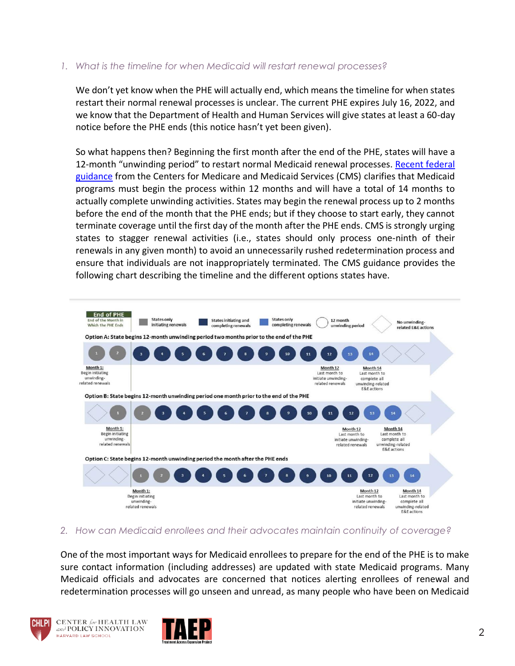#### *1. What is the timeline for when Medicaid will restart renewal processes?*

We don't yet know when the PHE will actually end, which means the timeline for when states restart their normal renewal processes is unclear. The current PHE expires July 16, 2022, and we know that the Department of Health and Human Services will give states at least a 60-day notice before the PHE ends (this notice hasn't yet been given).

So what happens then? Beginning the first month after the end of the PHE, states will have a 12-month "unwinding period" to restart normal Medicaid renewal processes[. Recent federal](https://www.medicaid.gov/federal-policy-guidance/downloads/sho22001.pdf)  [guidance](https://www.medicaid.gov/federal-policy-guidance/downloads/sho22001.pdf) from the Centers for Medicare and Medicaid Services (CMS) clarifies that Medicaid programs must begin the process within 12 months and will have a total of 14 months to actually complete unwinding activities. States may begin the renewal process up to 2 months before the end of the month that the PHE ends; but if they choose to start early, they cannot terminate coverage until the first day of the month after the PHE ends. CMS is strongly urging states to stagger renewal activities (i.e., states should only process one-ninth of their renewals in any given month) to avoid an unnecessarily rushed redetermination process and ensure that individuals are not inappropriately terminated. The CMS guidance provides the following chart describing the timeline and the different options states have.



#### *2. How can Medicaid enrollees and their advocates maintain continuity of coverage?*

One of the most important ways for Medicaid enrollees to prepare for the end of the PHE is to make sure contact information (including addresses) are updated with state Medicaid programs. Many Medicaid officials and advocates are concerned that notices alerting enrollees of renewal and redetermination processes will go unseen and unread, as many people who have been on Medicaid



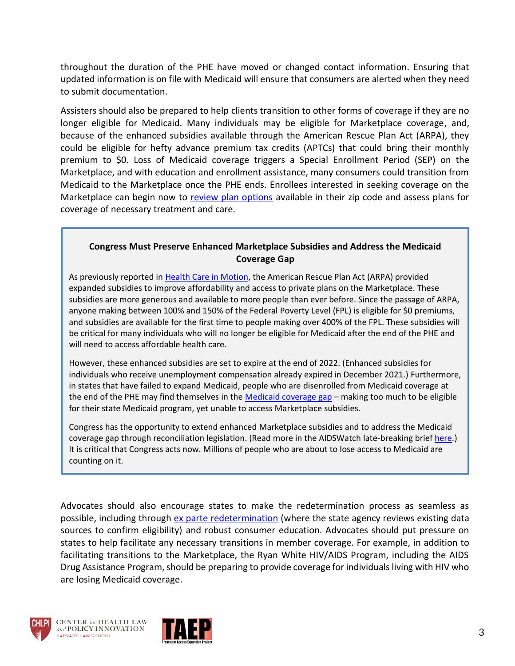throughout the duration of the PHE have moved or changed contact information. Ensuring that updated information is on file with Medicaid will ensure that consumers are alerted when they need to submit documentation.

Assisters should also be prepared to help clients transition to other forms of coverage if they are no longer eligible for Medicaid. Many individuals may be eligible for Marketplace coverage, and, because of the enhanced subsidies available through the American Rescue Plan Act (ARPA), they could be eligible for hefty advance premium tax credits (APTCs) that could bring their monthly premium to \$0. Loss of Medicaid coverage triggers a Special Enrollment Period (SEP) on the Marketplace, and with education and enrollment assistance, many consumers could transition from Medicaid to the Marketplace once the PHE ends. Enrollees interested in seeking coverage on the Marketplace can begin now to [review plan options](https://www.healthcare.gov/see-plans/#/) available in their zip code and assess plans for coverage of necessary treatment and care.

#### **Congress Must Preserve Enhanced Marketplace Subsidies and Address the Medicaid Coverage Gap**

As previously reported in [Health Care in Motion,](https://chlpi.org/wp-content/uploads/2021/12/HCIM_11_19_21.pdf) the American Rescue Plan Act (ARPA) provided expanded subsidies to improve affordability and access to private plans on the Marketplace. These subsidies are more generous and available to more people than ever before. Since the passage of ARPA, anyone making between 100% and 150% of the Federal Poverty Level (FPL) is eligible for \$0 premiums, and subsidies are available for the first time to people making over 400% of the FPL. These subsidies will be critical for many individuals who will no longer be eligible for Medicaid after the end of the PHE and will need to access affordable health care.

However, these enhanced subsidies are set to expire at the end of 2022. (Enhanced subsidies for individuals who receive unemployment compensation already expired in December 2021.) Furthermore, in states that have failed to expand Medicaid, people who are disenrolled from Medicaid coverage at the end of the PHE may find themselves in the [Medicaid coverage gap](https://chlpi.org/wp-content/uploads/2013/12/Filling-the-Medicaid-Coverage-Gap.pdf) – making too much to be eligible for their state Medicaid program, yet unable to access Marketplace subsidies.

Congress has the opportunity to extend enhanced Marketplace subsidies and to address the Medicaid coverage gap through reconciliation legislation. (Read more in the AIDSWatch late-breaking brief [here.](https://aidsunited.org/late-breaking-policy-brief-addressing-the-end-of-the-covid-19-public-health-emergency-and-medicaid-coverage-cliff/)) It is critical that Congress acts now. Millions of people who are about to lose access to Medicaid are counting on it.

Advocates should also encourage states to make the redetermination process as seamless as possible, including through [ex parte redetermination](https://www.cbpp.org/research/health/streamlining-medicaid-renewals-through-the-ex-parte-process) (where the state agency reviews existing data sources to confirm eligibility) and robust consumer education. Advocates should put pressure on states to help facilitate any necessary transitions in member coverage. For example, in addition to facilitating transitions to the Marketplace, the Ryan White HIV/AIDS Program, including the AIDS Drug Assistance Program, should be preparing to provide coverage for individuals living with HIV who are losing Medicaid coverage.





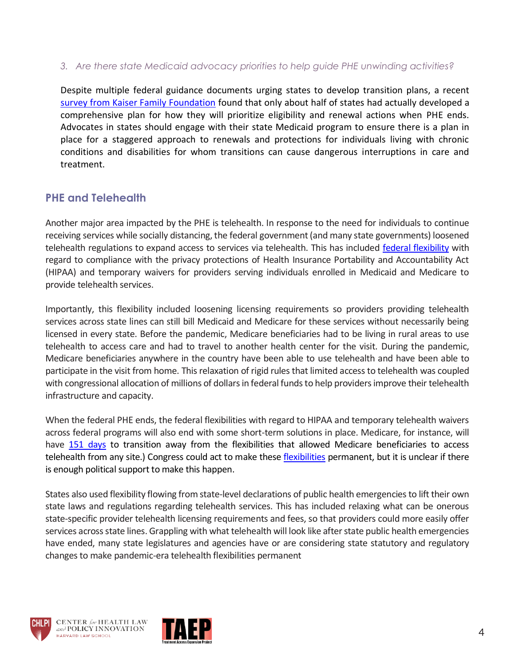*3. Are there state Medicaid advocacy priorities to help guide PHE unwinding activities?*

Despite multiple federal guidance documents urging states to develop transition plans, a recent [survey from Kaiser Family Foundation](https://www.kff.org/medicaid/press-release/states-are-planning-for-the-end-of-the-continuous-enrollment-requirement-in-medicaid-after-the-covid-19-public-health-emergency-expires-but-many-have-not-made-key-decisions/) found that only about half of states had actually developed a comprehensive plan for how they will prioritize eligibility and renewal actions when PHE ends. Advocates in states should engage with their state Medicaid program to ensure there is a plan in place for a staggered approach to renewals and protections for individuals living with chronic conditions and disabilities for whom transitions can cause dangerous interruptions in care and treatment.

## **PHE and Telehealth**

Another major area impacted by the PHE is telehealth. In response to the need for individuals to continue receiving services while socially distancing, the federal government (and many state governments) loosened telehealth regulations to expand access to services via telehealth. This has included [federal flexibility](https://www.hhs.gov/coronavirus/telehealth/index.html) with regard to compliance with the privacy protections of Health Insurance Portability and Accountability Act (HIPAA) and temporary waivers for providers serving individuals enrolled in Medicaid and Medicare to provide telehealth services.

Importantly, this flexibility included loosening licensing requirements so providers providing telehealth services across state lines can still bill Medicaid and Medicare for these services without necessarily being licensed in every state. Before the pandemic, Medicare beneficiaries had to be living in rural areas to use telehealth to access care and had to travel to another health center for the visit. During the pandemic, Medicare beneficiaries anywhere in the country have been able to use telehealth and have been able to participate in the visit from home. This relaxation of rigid rules that limited access to telehealth was coupled with congressional allocation of millions of dollars in federal funds to help providers improve their telehealth infrastructure and capacity.

When the federal PHE ends, the federal flexibilities with regard to HIPAA and temporary telehealth waivers across federal programs will also end with some short-term solutions in place. Medicare, for instance, will have [151 days](https://rules.house.gov/sites/democrats.rules.house.gov/files/BILLS-117HR2471SA-RCP-117-35.pdf) to transition away from the flexibilities that allowed Medicare beneficiaries to access telehealth from any site.) Congress could act to make these [flexibilities](https://www.manatt.com/insights/newsletters/covid-19-update/executive-summary-tracking-telehealth-changes-stat) permanent, but it is unclear if there is enough political support to make this happen.

States also used flexibility flowing from state-level declarations of public health emergencies to lift their own state laws and regulations regarding telehealth services. This has included relaxing what can be onerous state-specific provider telehealth licensing requirements and fees, so that providers could more easily offer services across state lines. Grappling with what telehealth will look like after state public health emergencies have ended, many state legislatures and agencies have or are considering state statutory and regulatory changes to make pandemic-era telehealth flexibilities permanent



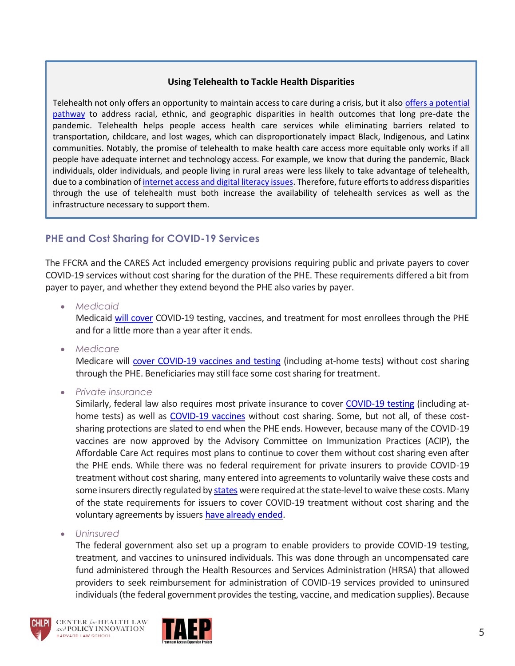#### **Using Telehealth to Tackle Health Disparities**

Telehealth not only offers an opportunity to maintain access to care during a crisis, but it als[o offers a potential](https://blog.petrieflom.law.harvard.edu/2020/09/11/telehealth-disparities-health-equity-covid19/)  [pathway](https://blog.petrieflom.law.harvard.edu/2020/09/11/telehealth-disparities-health-equity-covid19/) to address racial, ethnic, and geographic disparities in health outcomes that long pre-date the pandemic. Telehealth helps people access health care services while eliminating barriers related to transportation, childcare, and lost wages, which can disproportionately impact Black, Indigenous, and Latinx communities. Notably, the promise of telehealth to make health care access more equitable only works if all people have adequate internet and technology access. For example, we know that during the pandemic, Black individuals, older individuals, and people living in rural areas were less likely to take advantage of telehealth, due to a combination of [internet access and digital literacy issues.](https://www.ncbi.nlm.nih.gov/pmc/articles/PMC7578842/pdf/10.1177_1357633X20963893.pdf) Therefore, future efforts to address disparities through the use of telehealth must both increase the availability of telehealth services as well as the infrastructure necessary to support them.

## **PHE and Cost Sharing for COVID-19 Services**

The FFCRA and the CARES Act included emergency provisions requiring public and private payers to cover COVID-19 services without cost sharing for the duration of the PHE. These requirements differed a bit from payer to payer, and whether they extend beyond the PHE also varies by payer.

• *Medicaid*

Medicaid [will cover](https://www.cbpp.org/sites/default/files/3-29-2021healthrev_12-8-2021.pdf) COVID-19 testing, vaccines, and treatment for most enrollees through the PHE and for a little more than a year after it ends.

• *Medicare*

Medicare will [cover COVID-19 vaccines and testing](https://www.medicare.gov/medicare-coronavirus) (including at-home tests) without cost sharing through the PHE. Beneficiaries may still face some cost sharing for treatment.

• *Private insurance*

Similarly, federal law also requires most private insurance to cover [COVID-19 testing](https://www.kff.org/policy-watch/how-are-private-insurers-covering-at-home-rapid-covid-tests/#:~:text=Under%20the%20new%20guidance%2C%20private,care%20or%20Medicare%20Advantage%20plans.) (including at-home tests) as well as [COVID-19 vaccines](https://www.cms.gov/files/document/covid-19-toolkit-issuers-ma-plans.pdf-0) without cost sharing. Some, but not all, of these costsharing protections are slated to end when the PHE ends. However, because many of the COVID-19 vaccines are now approved by the Advisory Committee on Immunization Practices (ACIP), the Affordable Care Act requires most plans to continue to cover them without cost sharing even after the PHE ends. While there was no federal requirement for private insurers to provide COVID-19 treatment without cost sharing, many entered into agreements to voluntarily waive these costs and some insurers directly regulated b[y states](https://www.mass.gov/doc/bulletin-2020-13-coverage-for-covid-19-treatment-and-out-of-network-emergency-and-inpatient/download) were required at the state-level to waive these costs. Many of the state requirements for issuers to cover COVID-19 treatment without cost sharing and the voluntary agreements by issuers [have already ended.](https://www.healthsystemtracker.org/brief/most-private-insurers-are-no-longer-waiving-cost-sharing-for-covid-19-treatment/)

• *Uninsured*

The federal government also set up a program to enable providers to provide COVID-19 testing, treatment, and vaccines to uninsured individuals. This was done through an uncompensated care fund administered through the Health Resources and Services Administration (HRSA) that allowed providers to seek reimbursement for administration of COVID-19 services provided to uninsured individuals (the federal government provides the testing, vaccine, and medication supplies). Because